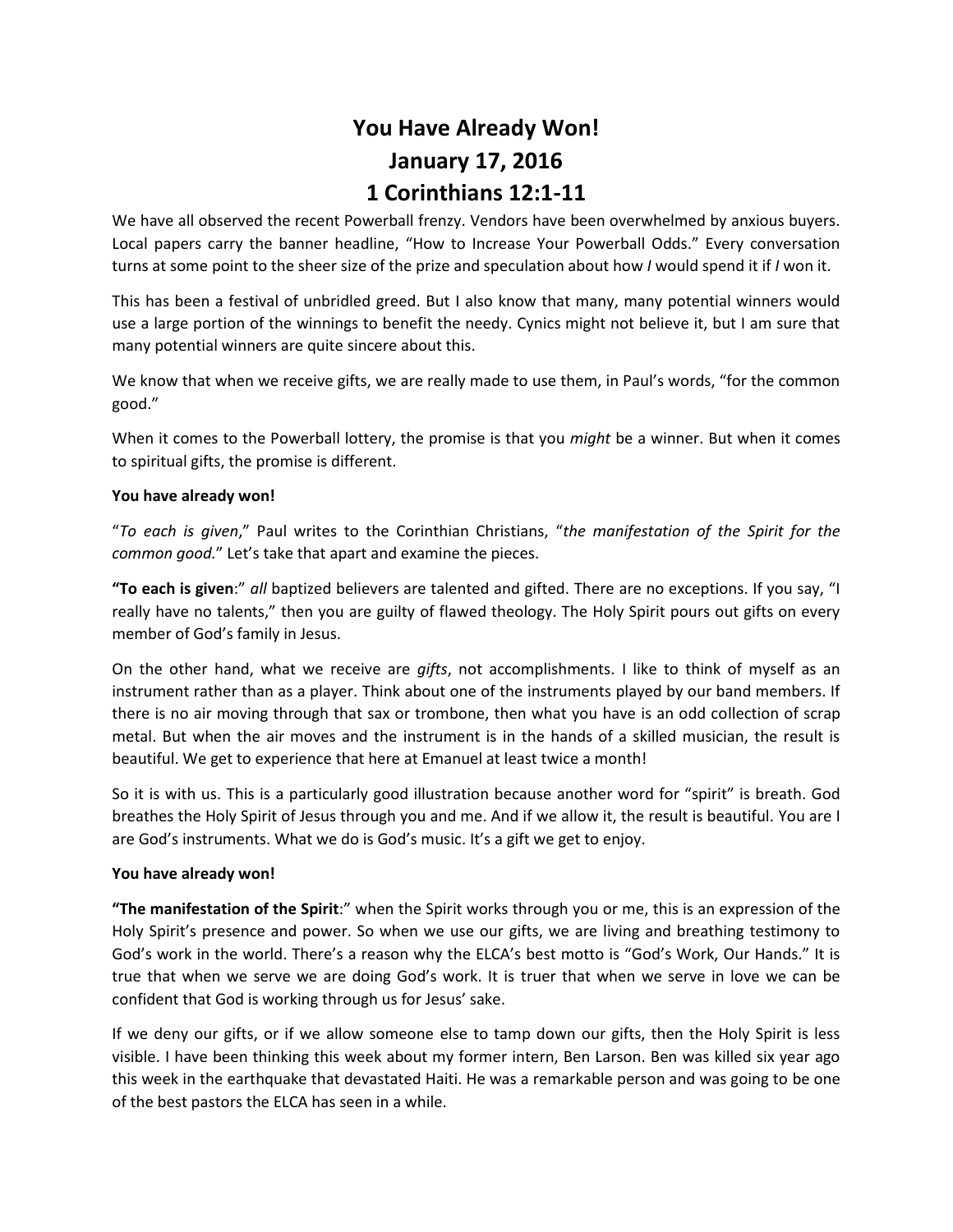# **You Have Already Won! January 17, 2016 1 Corinthians 12:1-11**

We have all observed the recent Powerball frenzy. Vendors have been overwhelmed by anxious buyers. Local papers carry the banner headline, "How to Increase Your Powerball Odds." Every conversation turns at some point to the sheer size of the prize and speculation about how *I* would spend it if *I* won it.

This has been a festival of unbridled greed. But I also know that many, many potential winners would use a large portion of the winnings to benefit the needy. Cynics might not believe it, but I am sure that many potential winners are quite sincere about this.

We know that when we receive gifts, we are really made to use them, in Paul's words, "for the common good."

When it comes to the Powerball lottery, the promise is that you *might* be a winner. But when it comes to spiritual gifts, the promise is different.

# **You have already won!**

"*To each is given*," Paul writes to the Corinthian Christians, "*the manifestation of the Spirit for the common good.*" Let's take that apart and examine the pieces.

**"To each is given**:" *all* baptized believers are talented and gifted. There are no exceptions. If you say, "I really have no talents," then you are guilty of flawed theology. The Holy Spirit pours out gifts on every member of God's family in Jesus.

On the other hand, what we receive are *gifts*, not accomplishments. I like to think of myself as an instrument rather than as a player. Think about one of the instruments played by our band members. If there is no air moving through that sax or trombone, then what you have is an odd collection of scrap metal. But when the air moves and the instrument is in the hands of a skilled musician, the result is beautiful. We get to experience that here at Emanuel at least twice a month!

So it is with us. This is a particularly good illustration because another word for "spirit" is breath. God breathes the Holy Spirit of Jesus through you and me. And if we allow it, the result is beautiful. You are I are God's instruments. What we do is God's music. It's a gift we get to enjoy.

## **You have already won!**

**"The manifestation of the Spirit**:" when the Spirit works through you or me, this is an expression of the Holy Spirit's presence and power. So when we use our gifts, we are living and breathing testimony to God's work in the world. There's a reason why the ELCA's best motto is "God's Work, Our Hands." It is true that when we serve we are doing God's work. It is truer that when we serve in love we can be confident that God is working through us for Jesus' sake.

If we deny our gifts, or if we allow someone else to tamp down our gifts, then the Holy Spirit is less visible. I have been thinking this week about my former intern, Ben Larson. Ben was killed six year ago this week in the earthquake that devastated Haiti. He was a remarkable person and was going to be one of the best pastors the ELCA has seen in a while.